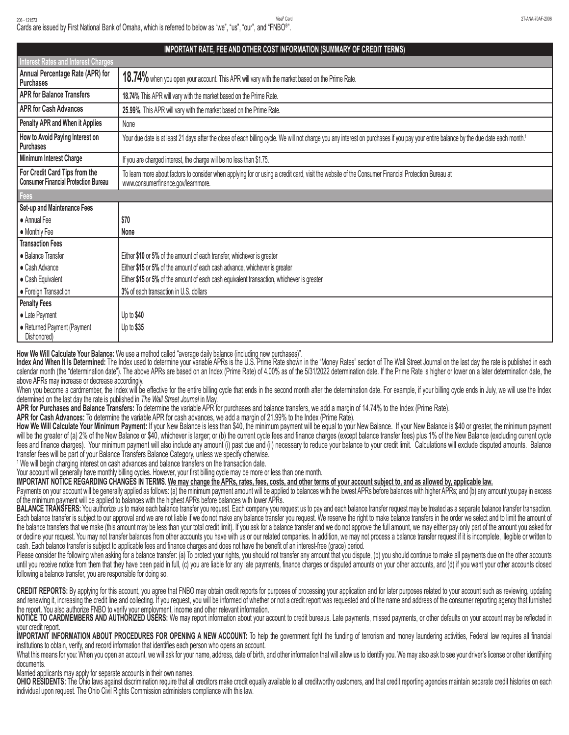| IMPORTANT RATE, FEE AND OTHER COST INFORMATION (SUMMARY OF CREDIT TERMS)     |                                                                                                                                                                                                   |
|------------------------------------------------------------------------------|---------------------------------------------------------------------------------------------------------------------------------------------------------------------------------------------------|
| <b>Interest Rates and Interest Charges</b>                                   |                                                                                                                                                                                                   |
| Annual Percentage Rate (APR) for<br><b>Purchases</b>                         | 18.74% when you open your account. This APR will vary with the market based on the Prime Rate.                                                                                                    |
| <b>APR for Balance Transfers</b>                                             | 18.74% This APR will vary with the market based on the Prime Rate.                                                                                                                                |
| <b>APR for Cash Advances</b>                                                 | 25.99%. This APR will vary with the market based on the Prime Rate.                                                                                                                               |
| Penalty APR and When it Applies                                              | None                                                                                                                                                                                              |
| How to Avoid Paying Interest on<br>Purchases                                 | Your due date is at least 21 days after the close of each billing cycle. We will not charge you any interest on purchases if you pay your entire balance by the due date each month. <sup>1</sup> |
| Minimum Interest Charge                                                      | If you are charged interest, the charge will be no less than \$1.75.                                                                                                                              |
| For Credit Card Tips from the<br><b>Consumer Financial Protection Bureau</b> | To learn more about factors to consider when applying for or using a credit card, visit the website of the Consumer Financial Protection Bureau at<br>www.consumerfinance.gov/learnmore.          |
| Fees                                                                         |                                                                                                                                                                                                   |
| Set-up and Maintenance Fees                                                  |                                                                                                                                                                                                   |
| • Annual Fee                                                                 | \$70                                                                                                                                                                                              |
| • Monthly Fee                                                                | None                                                                                                                                                                                              |
| <b>Transaction Fees</b>                                                      |                                                                                                                                                                                                   |
| • Balance Transfer                                                           | Either \$10 or 5% of the amount of each transfer, whichever is greater                                                                                                                            |
| • Cash Advance                                                               | Either \$15 or 5% of the amount of each cash advance, whichever is greater                                                                                                                        |
| • Cash Equivalent                                                            | Either \$15 or 5% of the amount of each cash equivalent transaction, whichever is greater                                                                                                         |
| • Foreign Transaction                                                        | 3% of each transaction in U.S. dollars                                                                                                                                                            |
| <b>Penalty Fees</b>                                                          |                                                                                                                                                                                                   |
| • Late Payment                                                               | Up to $$40$                                                                                                                                                                                       |
| • Returned Payment (Payment<br>Dishonored)                                   | Up to \$35                                                                                                                                                                                        |

**How We Will Calculate Your Balance:** We use a method called "average daily balance (including new purchases)".

**Index And When It Is Determined:** The Index used to determine your variable APRs is the U.S. Prime Rate shown in the "Money Rates" section of The Wall Street Journal on the last day the rate is published in each calendar month (the "determination date"). The above APRs are based on an Index (Prime Rate) of 4.00% as of the 5/31/2022 determination date. If the Prime Rate is higher or lower on a later determination date, the above APRs may increase or decrease accordingly.

When you become a cardmember, the Index will be effective for the entire billing cycle that ends in the second month after the determination date. For example, if your billing cycle ends in July, we will use the Index determined on the last day the rate is published in *The Wall Street Journal* in May.

**APR for Purchases and Balance Transfers:** To determine the variable APR for purchases and balance transfers, we add a margin of 14.74% to the Index (Prime Rate).

**APR for Cash Advances:** To determine the variable APR for cash advances, we add a margin of 21.99% to the Index (Prime Rate).

**How We Will Calculate Your Minimum Payment:** If your New Balance is less than \$40, the minimum payment will be equal to your New Balance. If your New Balance is \$40 or greater, the minimum payment will be the greater of (a) 2% of the New Balance or \$40, whichever is larger; or (b) the current cycle fees and finance charges (except balance transfer fees) plus 1% of the New Balance (excluding current cycle fees and finance charges). Your minimum payment will also include any amount (i) past due and (ii) necessary to reduce your balance to your credit limit. Calculations will exclude disputed amounts. Balance transfer fees will be part of your Balance Transfers Balance Category, unless we specify otherwise.

<sup>1</sup> We will begin charging interest on cash advances and balance transfers on the transaction date.

Your account will generally have monthly billing cycles. However, your first billing cycle may be more or less than one month.

**IMPORTANT NOTICE REGARDING CHANGES IN TERMS**. **We may change the APRs, rates, fees, costs, and other terms of your account subject to, and as allowed by, applicable law.**

Payments on your account will be generally applied as follows: (a) the minimum payment amount will be applied to balances with the lowest APRs before balances with higher APRs; and (b) any amount you pay in excess of the minimum payment will be applied to balances with the highest APRs before balances with lower APRs.

**BALANCE TRANSFERS:** You authorize us to make each balance transfer you request. Each company you request us to pay and each balance transfer request may be treated as a separate balance transfer transaction. Each balance transfer is subject to our approval and we are not liable if we do not make any balance transfer you request. We reserve the right to make balance transfers in the order we select and to limit the amount of the balance transfers that we make (this amount may be less than your total credit limit). If you ask for a balance transfer and we do not approve the full amount, we may either pay only part of the amount you asked for or decline your request. You may not transfer balances from other accounts you have with us or our related companies. In addition, we may not process a balance transfer request if it is incomplete, illegible or written to cash. Each balance transfer is subject to applicable fees and finance charges and does not have the benefit of an interest-free (grace) period.

Please consider the following when asking for a balance transfer: (a) To protect your rights, you should not transfer any amount that you dispute, (b) you should continue to make all payments due on the other accounts until you receive notice from them that they have been paid in full, (c) you are liable for any late payments, finance charges or disputed amounts on your other accounts, and (d) if you want your other accounts closed following a balance transfer, you are responsible for doing so.

CREDIT REPORTS: By applying for this account, you agree that FNBO may obtain credit reports for purposes of processing your application and for later purposes related to your account such as reviewing, updating and renewing it, increasing the credit line and collecting. If you request, you will be informed of whether or not a credit report was requested and of the name and address of the consumer reporting agency that furnished the report. You also authorize FNBO to verify your employment, income and other relevant information.

**NOTICE TO CARDMEMBERS AND AUTHORIZED USERS:** We may report information about your account to credit bureaus. Late payments, missed payments, or other defaults on your account may be reflected in your credit report.

IMPORTANT INFORMATION ABOUT PROCEDURES FOR OPENING A NEW ACCOUNT: To help the government fight the funding of terrorism and money laundering activities, Federal law requires all financial institutions to obtain, verify, and record information that identifies each person who opens an account.

What this means for you: When you open an account, we will ask for your name, address, date of birth, and other information that will allow us to identify you. We may also ask to see your driver's license or other identify documents.

Married applicants may apply for separate accounts in their own names.

OHIO RESIDENTS: The Ohio laws against discrimination require that all creditors make credit equally available to all creditworthy customers, and that credit reporting agencies maintain separate credit histories on each individual upon request. The Ohio Civil Rights Commission administers compliance with this law.